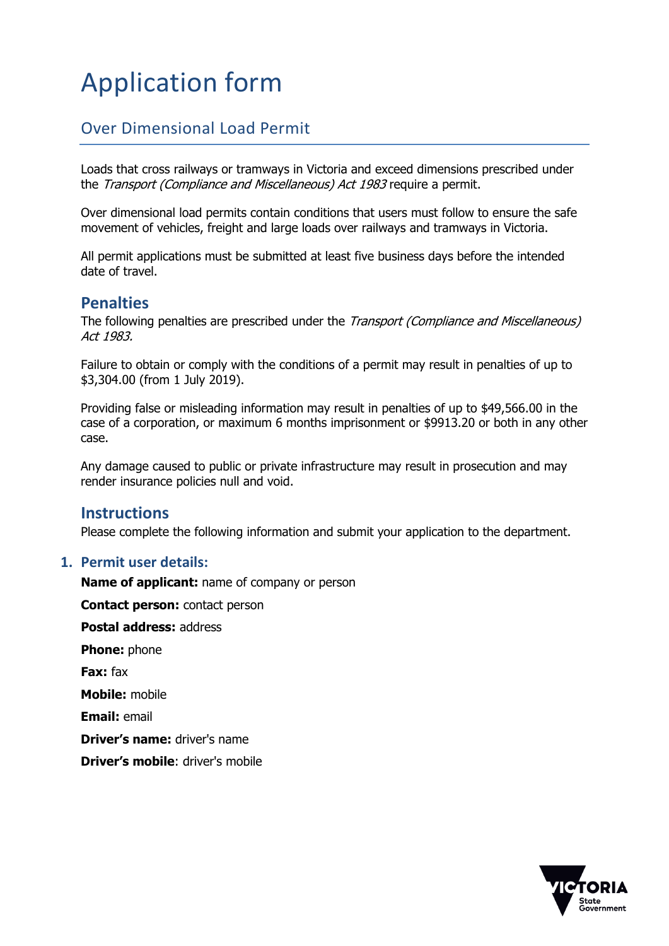# Application form

# Over Dimensional Load Permit

Loads that cross railways or tramways in Victoria and exceed dimensions prescribed under the Transport (Compliance and Miscellaneous) Act 1983 require a permit.

Over dimensional load permits contain conditions that users must follow to ensure the safe movement of vehicles, freight and large loads over railways and tramways in Victoria.

All permit applications must be submitted at least five business days before the intended date of travel.

### **Penalties**

The following penalties are prescribed under the *Transport (Compliance and Miscellaneous)* Act 1983.

Failure to obtain or comply with the conditions of a permit may result in penalties of up to \$3,304.00 (from 1 July 2019).

Providing false or misleading information may result in penalties of up to \$49,566.00 in the case of a corporation, or maximum 6 months imprisonment or \$9913.20 or both in any other case.

Any damage caused to public or private infrastructure may result in prosecution and may render insurance policies null and void.

#### **Instructions**

Please complete the following information and submit your application to the department.

#### **1. Permit user details:**

**Name of applicant:** name of company or person **Contact person:** contact person **Postal address:** address **Phone:** phone **Fax:** fax **Mobile:** mobile **Email:** email **Driver's name:** driver's name

**Driver's mobile**: driver's mobile

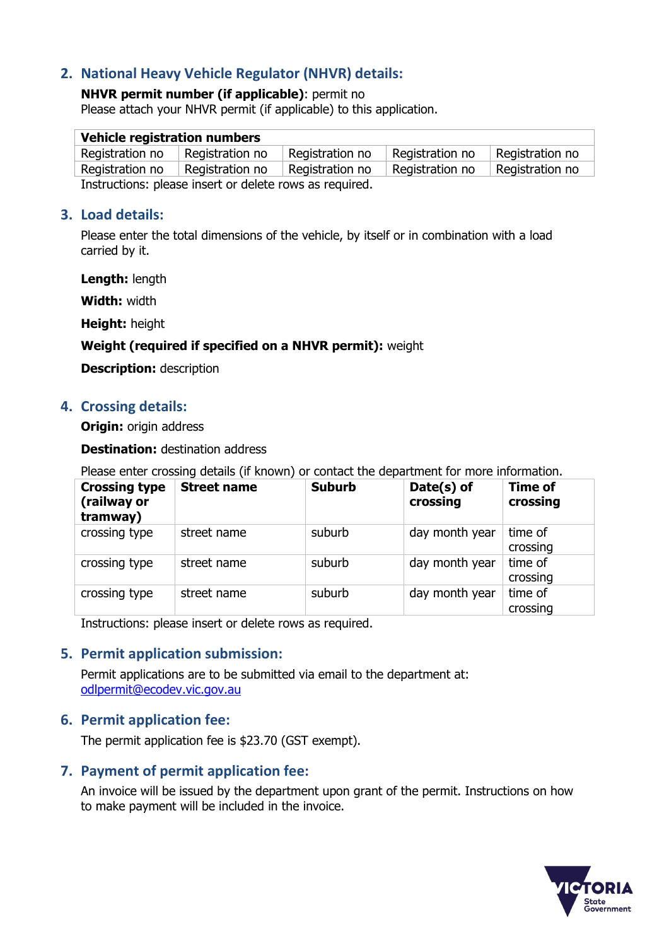## **2. National Heavy Vehicle Regulator (NHVR) details:**

# **NHVR permit number (if applicable)**: permit no

Please attach your NHVR permit (if applicable) to this application.

| <b>Vehicle registration numbers</b>                     |                 |                 |                 |                 |  |  |  |
|---------------------------------------------------------|-----------------|-----------------|-----------------|-----------------|--|--|--|
| Registration no                                         | Registration no | Registration no | Registration no | Registration no |  |  |  |
| Registration no                                         | Registration no | Registration no | Registration no | Registration no |  |  |  |
| Instructions: please insert or delete rows as required. |                 |                 |                 |                 |  |  |  |

#### **3. Load details:**

Please enter the total dimensions of the vehicle, by itself or in combination with a load carried by it.

**Length:** length

**Width:** width

**Height:** height

#### **Weight (required if specified on a NHVR permit):** weight

**Description:** description

#### **4. Crossing details:**

**Origin:** origin address

**Destination:** destination address

Please enter crossing details (if known) or contact the department for more information.

| <b>Crossing type</b><br>(railway or<br>tramway) | <b>Street name</b> | <b>Suburb</b> | Date(s) of<br>crossing | <b>Time of</b><br>crossing |
|-------------------------------------------------|--------------------|---------------|------------------------|----------------------------|
| crossing type                                   | street name        | suburb        | day month year         | time of<br>crossing        |
| crossing type                                   | street name        | suburb        | day month year         | time of<br>crossing        |
| crossing type                                   | street name        | suburb        | day month year         | time of<br>crossing        |

Instructions: please insert or delete rows as required.

#### **5. Permit application submission:**

Permit applications are to be submitted via email to the department at: [odlpermit@ecodev.vic.gov.au](mailto:odlpermit@ecodev.vic.gov.au)

#### **6. Permit application fee:**

The permit application fee is \$23.70 (GST exempt).

#### **7. Payment of permit application fee:**

An invoice will be issued by the department upon grant of the permit. Instructions on how to make payment will be included in the invoice.